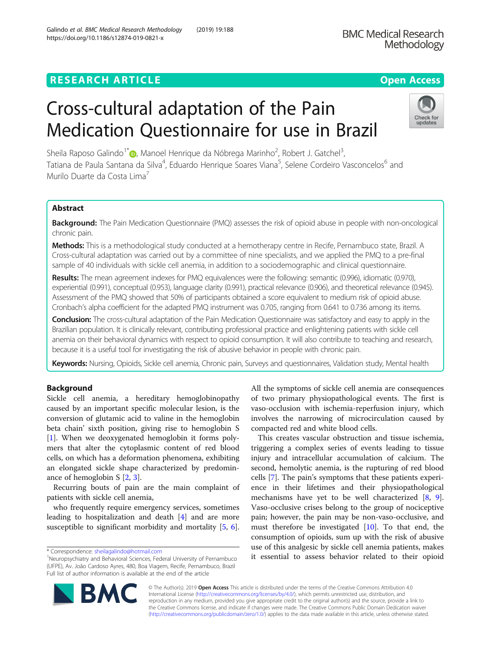## **RESEARCH ARTICLE Example 2018 12:30 THE Open Access**

# Cross-cultural adaptation of the Pain Medication Questionnaire for use in Brazil

Sheila Raposo Galindo<sup>1\*</sup>®[,](http://orcid.org/0000-0001-6484-4817) Manoel Henrique da Nóbrega Marinho<sup>2</sup>, Robert J. Gatchel<sup>3</sup> , Tatiana de Paula Santana da Silva<sup>4</sup>, Eduardo Henrique Soares Viana<sup>5</sup>, Selene Cordeiro Vasconcelos<sup>6</sup> and Murilo Duarte da Costa Lima<sup>7</sup>

## Abstract

Background: The Pain Medication Questionnaire (PMQ) assesses the risk of opioid abuse in people with non-oncological chronic pain.

Methods: This is a methodological study conducted at a hemotherapy centre in Recife, Pernambuco state, Brazil. A Cross-cultural adaptation was carried out by a committee of nine specialists, and we applied the PMQ to a pre-final sample of 40 individuals with sickle cell anemia, in addition to a sociodemographic and clinical questionnaire.

Results: The mean agreement indexes for PMQ equivalences were the following: semantic (0.996), idiomatic (0.970), experiential (0.991), conceptual (0.953), language clarity (0.991), practical relevance (0.906), and theoretical relevance (0.945). Assessment of the PMQ showed that 50% of participants obtained a score equivalent to medium risk of opioid abuse. Cronbach's alpha coefficient for the adapted PMQ instrument was 0.705, ranging from 0.641 to 0.736 among its items.

Conclusion: The cross-cultural adaptation of the Pain Medication Questionnaire was satisfactory and easy to apply in the Brazilian population. It is clinically relevant, contributing professional practice and enlightening patients with sickle cell anemia on their behavioral dynamics with respect to opioid consumption. It will also contribute to teaching and research, because it is a useful tool for investigating the risk of abusive behavior in people with chronic pain.

Keywords: Nursing, Opioids, Sickle cell anemia, Chronic pain, Surveys and questionnaires, Validation study, Mental health

## Background

Sickle cell anemia, a hereditary hemoglobinopathy caused by an important specific molecular lesion, is the conversion of glutamic acid to valine in the hemoglobin beta chain' sixth position, giving rise to hemoglobin S [[1\]](#page-11-0). When we deoxygenated hemoglobin it forms polymers that alter the cytoplasmic content of red blood cells, on which has a deformation phenomena, exhibiting an elongated sickle shape characterized by predominance of hemoglobin S [[2,](#page-12-0) [3\]](#page-12-0).

Recurring bouts of pain are the main complaint of patients with sickle cell anemia,

who frequently require emergency services, sometimes leading to hospitalization and death [[4\]](#page-12-0) and are more susceptible to significant morbidity and mortality [[5](#page-12-0), [6](#page-12-0)].

© The Author(s). 2019 **Open Access** This article is distributed under the terms of the Creative Commons Attribution 4.0 International License [\(http://creativecommons.org/licenses/by/4.0/](http://creativecommons.org/licenses/by/4.0/)), which permits unrestricted use, distribution, and reproduction in any medium, provided you give appropriate credit to the original author(s) and the source, provide a link to the Creative Commons license, and indicate if changes were made. The Creative Commons Public Domain Dedication waiver [\(http://creativecommons.org/publicdomain/zero/1.0/](http://creativecommons.org/publicdomain/zero/1.0/)) applies to the data made available in this article, unless otherwise stated.

All the symptoms of sickle cell anemia are consequences of two primary physiopathological events. The first is vaso-occlusion with ischemia-reperfusion injury, which involves the narrowing of microcirculation caused by compacted red and white blood cells.

This creates vascular obstruction and tissue ischemia, triggering a complex series of events leading to tissue injury and intracellular accumulation of calcium. The second, hemolytic anemia, is the rupturing of red blood cells [[7](#page-12-0)]. The pain's symptoms that these patients experience in their lifetimes and their physiopathological mechanisms have yet to be well characterized [[8,](#page-12-0) [9](#page-12-0)]. Vaso-occlusive crises belong to the group of nociceptive pain; however, the pain may be non-vaso-occlusive, and must therefore be investigated [\[10](#page-12-0)]. To that end, the consumption of opioids, sum up with the risk of abusive use of this analgesic by sickle cell anemia patients, makes it essential to assess behavior related to their opioid





<sup>\*</sup> Correspondence: [sheilagalindo@hotmail.com](mailto:sheilagalindo@hotmail.com) <sup>1</sup>

<sup>&</sup>lt;sup>1</sup>Neuropsychiatry and Behavioral Sciences, Federal University of Pernambuco (UFPE), Av. João Cardoso Ayres, 480, Boa Viagem, Recife, Pernambuco, Brazil Full list of author information is available at the end of the article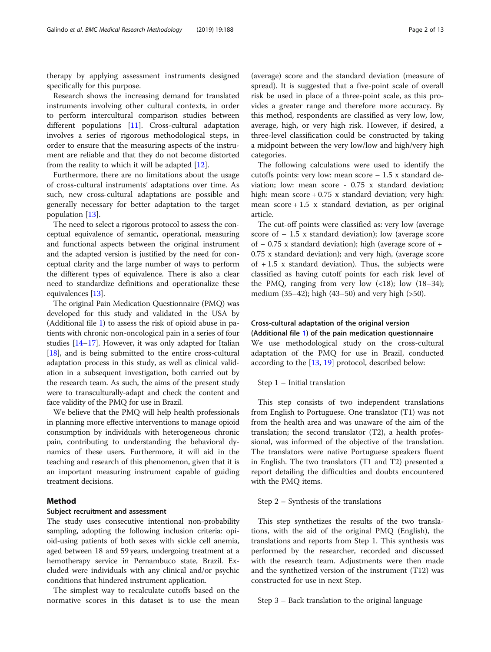therapy by applying assessment instruments designed specifically for this purpose.

Research shows the increasing demand for translated instruments involving other cultural contexts, in order to perform intercultural comparison studies between different populations [\[11](#page-12-0)]. Cross-cultural adaptation involves a series of rigorous methodological steps, in order to ensure that the measuring aspects of the instrument are reliable and that they do not become distorted from the reality to which it will be adapted [[12](#page-12-0)].

Furthermore, there are no limitations about the usage of cross-cultural instruments' adaptations over time. As such, new cross-cultural adaptations are possible and generally necessary for better adaptation to the target population [[13\]](#page-12-0).

The need to select a rigorous protocol to assess the conceptual equivalence of semantic, operational, measuring and functional aspects between the original instrument and the adapted version is justified by the need for conceptual clarity and the large number of ways to perform the different types of equivalence. There is also a clear need to standardize definitions and operationalize these equivalences [[13](#page-12-0)].

The original Pain Medication Questionnaire (PMQ) was developed for this study and validated in the USA by (Additional file [1\)](#page-11-0) to assess the risk of opioid abuse in patients with chronic non-oncological pain in a series of four studies [\[14](#page-12-0)–[17](#page-12-0)]. However, it was only adapted for Italian [[18](#page-12-0)], and is being submitted to the entire cross-cultural adaptation process in this study, as well as clinical validation in a subsequent investigation, both carried out by the research team. As such, the aims of the present study were to transculturally-adapt and check the content and face validity of the PMQ for use in Brazil.

We believe that the PMQ will help health professionals in planning more effective interventions to manage opioid consumption by individuals with heterogeneous chronic pain, contributing to understanding the behavioral dynamics of these users. Furthermore, it will aid in the teaching and research of this phenomenon, given that it is an important measuring instrument capable of guiding treatment decisions.

## Method

## Subject recruitment and assessment

The study uses consecutive intentional non-probability sampling, adopting the following inclusion criteria: opioid-using patients of both sexes with sickle cell anemia, aged between 18 and 59 years, undergoing treatment at a hemotherapy service in Pernambuco state, Brazil. Excluded were individuals with any clinical and/or psychic conditions that hindered instrument application.

The simplest way to recalculate cutoffs based on the normative scores in this dataset is to use the mean

(average) score and the standard deviation (measure of spread). It is suggested that a five-point scale of overall risk be used in place of a three-point scale, as this provides a greater range and therefore more accuracy. By this method, respondents are classified as very low, low, average, high, or very high risk. However, if desired, a three-level classification could be constructed by taking a midpoint between the very low/low and high/very high categories.

The following calculations were used to identify the cutoffs points: very low: mean score  $-1.5$  x standard deviation; low: mean score - 0.75 x standard deviation; high: mean  $score + 0.75$  x standard deviation; very high: mean  $score + 1.5$  x standard deviation, as per original article.

The cut-off points were classified as: very low (average score of  $-1.5$  x standard deviation); low (average score of  $-0.75$  x standard deviation); high (average score of  $+$ 0.75 x standard deviation); and very high, (average score of  $+1.5$  x standard deviation). Thus, the subjects were classified as having cutoff points for each risk level of the PMQ, ranging from very low  $(\langle 18 \rangle;$  low  $(18-34);$ medium (35–42); high (43–50) and very high (>50).

## Cross-cultural adaptation of the original version

(Additional file [1](#page-11-0)) of the pain medication questionnaire We use methodological study on the cross-cultural adaptation of the PMQ for use in Brazil, conducted according to the  $[13, 19]$  $[13, 19]$  $[13, 19]$  $[13, 19]$  $[13, 19]$  protocol, described below:

## Step 1 – Initial translation

This step consists of two independent translations from English to Portuguese. One translator (T1) was not from the health area and was unaware of the aim of the translation; the second translator (T2), a health professional, was informed of the objective of the translation. The translators were native Portuguese speakers fluent in English. The two translators (T1 and T2) presented a report detailing the difficulties and doubts encountered with the PMQ items.

Step 2 – Synthesis of the translations

This step synthetizes the results of the two translations, with the aid of the original PMQ (English), the translations and reports from Step 1. This synthesis was performed by the researcher, recorded and discussed with the research team. Adjustments were then made and the synthetized version of the instrument (T12) was constructed for use in next Step.

Step 3 – Back translation to the original language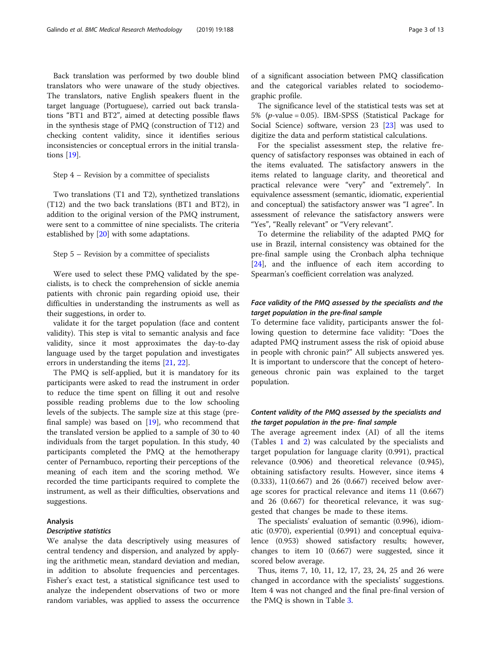Back translation was performed by two double blind translators who were unaware of the study objectives. The translators, native English speakers fluent in the target language (Portuguese), carried out back translations "BT1 and BT2", aimed at detecting possible flaws in the synthesis stage of PMQ (construction of T12) and checking content validity, since it identifies serious inconsistencies or conceptual errors in the initial translations [[19\]](#page-12-0).

Step 4 – Revision by a committee of specialists

Two translations (T1 and T2), synthetized translations (T12) and the two back translations (BT1 and BT2), in addition to the original version of the PMQ instrument, were sent to a committee of nine specialists. The criteria established by [[20\]](#page-12-0) with some adaptations.

#### Step 5 – Revision by a committee of specialists

Were used to select these PMQ validated by the specialists, is to check the comprehension of sickle anemia patients with chronic pain regarding opioid use, their difficulties in understanding the instruments as well as their suggestions, in order to.

validate it for the target population (face and content validity). This step is vital to semantic analysis and face validity, since it most approximates the day-to-day language used by the target population and investigates errors in understanding the items [[21](#page-12-0), [22](#page-12-0)].

The PMQ is self-applied, but it is mandatory for its participants were asked to read the instrument in order to reduce the time spent on filling it out and resolve possible reading problems due to the low schooling levels of the subjects. The sample size at this stage (prefinal sample) was based on [[19\]](#page-12-0), who recommend that the translated version be applied to a sample of 30 to 40 individuals from the target population. In this study, 40 participants completed the PMQ at the hemotherapy center of Pernambuco, reporting their perceptions of the meaning of each item and the scoring method. We recorded the time participants required to complete the instrument, as well as their difficulties, observations and suggestions.

## Analysis

#### Descriptive statistics

We analyse the data descriptively using measures of central tendency and dispersion, and analyzed by applying the arithmetic mean, standard deviation and median, in addition to absolute frequencies and percentages. Fisher's exact test, a statistical significance test used to analyze the independent observations of two or more random variables, was applied to assess the occurrence of a significant association between PMQ classification and the categorical variables related to sociodemographic profile.

The significance level of the statistical tests was set at 5% (p-value = 0.05). IBM-SPSS (Statistical Package for Social Science) software, version 23 [[23\]](#page-12-0) was used to digitize the data and perform statistical calculations.

For the specialist assessment step, the relative frequency of satisfactory responses was obtained in each of the items evaluated. The satisfactory answers in the items related to language clarity, and theoretical and practical relevance were "very" and "extremely". In equivalence assessment (semantic, idiomatic, experiential and conceptual) the satisfactory answer was "I agree". In assessment of relevance the satisfactory answers were "Yes", "Really relevant" or "Very relevant".

To determine the reliability of the adapted PMQ for use in Brazil, internal consistency was obtained for the pre-final sample using the Cronbach alpha technique [[24\]](#page-12-0), and the influence of each item according to Spearman's coefficient correlation was analyzed.

## Face validity of the PMQ assessed by the specialists and the target population in the pre-final sample

To determine face validity, participants answer the following question to determine face validity: "Does the adapted PMQ instrument assess the risk of opioid abuse in people with chronic pain?" All subjects answered yes. It is important to underscore that the concept of heterogeneous chronic pain was explained to the target population.

## Content validity of the PMQ assessed by the specialists and the target population in the pre- final sample

The average agreement index (AI) of all the items (Tables [1](#page-3-0) and [2](#page-3-0)) was calculated by the specialists and target population for language clarity (0.991), practical relevance (0.906) and theoretical relevance (0.945), obtaining satisfactory results. However, since items 4 (0.333), 11(0.667) and 26 (0.667) received below average scores for practical relevance and items 11 (0.667) and 26 (0.667) for theoretical relevance, it was suggested that changes be made to these items.

The specialists' evaluation of semantic (0.996), idiomatic (0.970), experiential (0.991) and conceptual equivalence (0.953) showed satisfactory results; however, changes to item 10 (0.667) were suggested, since it scored below average.

Thus, items 7, 10, 11, 12, 17, 23, 24, 25 and 26 were changed in accordance with the specialists' suggestions. Item 4 was not changed and the final pre-final version of the PMQ is shown in Table [3](#page-4-0).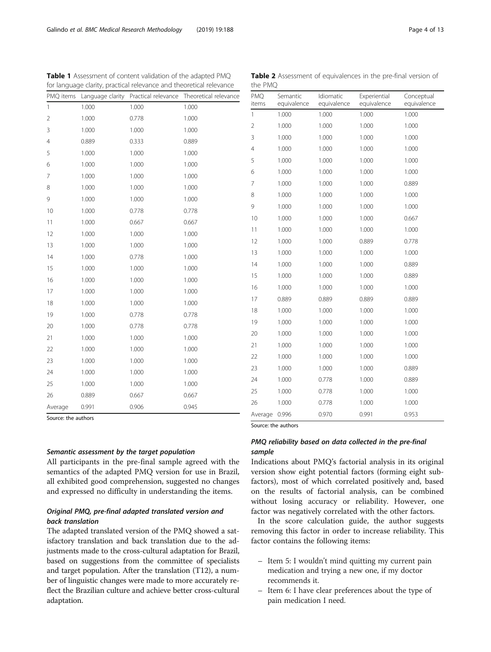Source: the authors

## Semantic assessment by the target population

All participants in the pre-final sample agreed with the semantics of the adapted PMQ version for use in Brazil, all exhibited good comprehension, suggested no changes and expressed no difficulty in understanding the items.

## Original PMQ, pre-final adapted translated version and back translation

The adapted translated version of the PMQ showed a satisfactory translation and back translation due to the adjustments made to the cross-cultural adaptation for Brazil, based on suggestions from the committee of specialists and target population. After the translation (T12), a number of linguistic changes were made to more accurately reflect the Brazilian culture and achieve better cross-cultural adaptation.

| 10 | 1.000 | 1.000 | 1.000 | 0.667 |
|----|-------|-------|-------|-------|
| 11 | 1.000 | 1.000 | 1.000 | 1.000 |
| 12 | 1.000 | 1.000 | 0.889 | 0.778 |
| 13 | 1.000 | 1.000 | 1.000 | 1.000 |
| 14 | 1.000 | 1.000 | 1.000 | 0.889 |
| 15 | 1.000 | 1.000 | 1.000 | 0.889 |
| 16 | 1.000 | 1.000 | 1.000 | 1.000 |
| 17 | 0.889 | 0.889 | 0.889 | 0.889 |
| 18 | 1.000 | 1.000 | 1.000 | 1.000 |
| 19 | 1.000 | 1.000 | 1.000 | 1.000 |
| 20 | 1.000 | 1.000 | 1.000 | 1.000 |
| 21 | 1.000 | 1.000 | 1.000 | 1.000 |
| 22 | 1.000 | 1.000 | 1.000 | 1.000 |
| 23 | 1.000 | 1.000 | 1.000 | 0.889 |
| 24 | 1.000 | 0.778 | 1.000 | 0.889 |
| 25 | 1.000 | 0.778 | 1.000 | 1.000 |
| 26 | 1.000 | 0.778 | 1.000 | 1.000 |

<span id="page-3-0"></span>Table 1 Assessment of content validation of the adapted PMQ for language clarity, practical relevance and theoretical relevance PMQ items Language clarity Practical relevance Theoretical relevance

1 1.000 1.000 1.000 2 1.000 0.778 1.000 3 1.000 1.000 1.000 4 0.889 0.333 0.889 5 1.000 1.000 1.000 6 1.000 1.000 1.000 7 1.000 1.000 1.000 8 1.000 1.000 1.000 9 1.000 1.000 1.000 10 1.000 0.778 0.778 11 1.000 0.667 0.667 12 1.000 1.000 1.000 13 1.000 1.000 1.000 14 1.000 0.778 1.000 15 1.000 1.000 1.000 16 1.000 1.000 1.000 17 1.000 1.000 1.000 18 1.000 1.000 1.000 19 1.000 0.778 0.778 20 1.000 0.778 0.778 21 1.000 1.000 1.000 22 1.000 1.000 1.000 23 1.000 1.000 1.000 24 1.000 1.000 1.000 25 1.000 1.000 1.000 26 0.889 0.667 0.667 Average 0.991 0.906 0.945 Table 2 Assessment of equivalences in the pre-final version of the PMQ

> Experiential equivalence

Idiomatic equivalence

1 1.000 1.000 1.000 1.000 2 1.000 1.000 1.000 1.000 3 1.000 1.000 1.000 1.000 4 1.000 1.000 1.000 1.000 5 1.000 1.000 1.000 1.000 6 1.000 1.000 1.000 1.000 7 1.000 1.000 1.000 0.889 8 1.000 1.000 1.000 1.000 9 1.000 1.000 1.000 1.000

## version show eight potential factors (forming eight subfactors), most of which correlated positively and, based on the results of factorial analysis, can be combined without losing accuracy or reliability. However, one

Indications about PMQ's factorial analysis in its original

PMQ reliability based on data collected in the pre-final

Average 0.996 0.970 0.991 0.953

sample

Source: the authors

PMQ items

Semantic equivalence

factor was negatively correlated with the other factors. In the score calculation guide, the author suggests removing this factor in order to increase reliability. This factor contains the following items:

- Item 5: I wouldn't mind quitting my current pain medication and trying a new one, if my doctor recommends it.
- Item 6: I have clear preferences about the type of pain medication I need.

Conceptual equivalence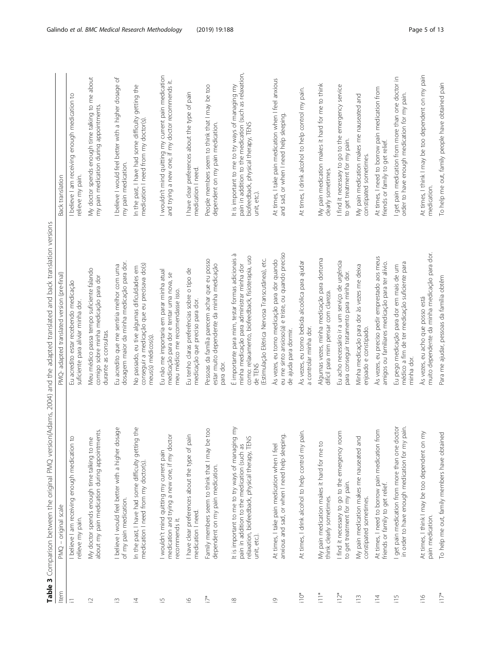<span id="page-4-0"></span>

| Item                    | PMQ - original scale                                                                                                                                                                         | PMQ-adapted translated version (pre-final)                                                                                                                                                                           | Back translation                                                                                                                                                   |
|-------------------------|----------------------------------------------------------------------------------------------------------------------------------------------------------------------------------------------|----------------------------------------------------------------------------------------------------------------------------------------------------------------------------------------------------------------------|--------------------------------------------------------------------------------------------------------------------------------------------------------------------|
| $=$                     | I believe I am receiving enough medication to<br>relieve my pain.                                                                                                                            | Eu acredito estar recebendo medicação<br>suficiente para aliviar minha dor.                                                                                                                                          | I believe I am receiving enough medication to<br>relieve my pain.                                                                                                  |
| $\square$               | about my pain medication during appointments.<br>$\omega$<br>My doctor spends enough time talking to m                                                                                       | Meu médico passa tempo suficiente falando<br>comigo sobre minha medicação para dor<br>durante as consultas.                                                                                                          | My doctor spends enough time talking to me about<br>my pain medication during appointments.                                                                        |
| ß                       | sage<br>I believe I would feel better with a higher do<br>of my pain medication.                                                                                                             | dosagem maior da minha medicação para dor.<br>Eu acredito que me sentiria melhor com uma                                                                                                                             | I believe I would feel better with a higher dosage of<br>my pain medication.                                                                                       |
| 立                       | In the past, I have had some difficulty getting the<br>medication I need from my doctor(s)                                                                                                   | conseguir a medicação que eu precisava do(s)<br>No passado, eu tive algumas dificuldades em<br>meus(s) médicos(s).                                                                                                   | In the past, I have had some difficulty getting the<br>medication I need from my doctor(s).                                                                        |
| $\overline{\mathbb{C}}$ | ð<br>I wouldn't mind quitting my current pain<br>medication and trying a new one, if my doct<br>recommends it.                                                                               | Eu não me importaria em parar minha atual<br>medicação para dor e tentar uma nova, se<br>meu médico me recomendasse isso.                                                                                            | I wouldn't mind quitting my current pain medication<br>and trying a new one, if my doctor recommends it.                                                           |
| $\underline{\circ}$     | I have clear preferences about the type of pain<br>medication I need.                                                                                                                        | Eu tenho claras preferências sobre o tipo de<br>medicação que preciso para dor.                                                                                                                                      | I have clear preferences about the type of pain<br>medication I need.                                                                                              |
| $\bar{D}^*$             | CO<br>Family members seem to think that I may be<br>dependent on my pain medication.                                                                                                         | Pessoas da família parecem achar que eu posso<br>estar muito dependente da minha medicação<br>para dor.                                                                                                              | People members seem to think that I may be too<br>dependent on my pain medication.                                                                                 |
| $\underline{\infty}$    | It is important to me to try ways of managing my<br>$\overline{\mathsf{C}}$<br>relaxation, biofeedback, physical therapy, TEN<br>pain in addition to the medication (such as<br>unit, etc.). | É importante para mim, testar formas adicionais à<br>como: relaxamento, biofeedback, fisioterapia, uso<br>(Estimulação Elétrica Nervosa Transcutânea), etc.<br>minha medicação para administrar minha dor<br>de TENS | pain in addition to the medication (such as relaxation,<br>It is important to me to try ways of managing my<br>biofeedback, physical therapy, TENS<br>unit, etc.). |
| $\overline{\circ}$      | anxious and sad, or when I need help sleeping.<br>At times, I take pain medication when I feel                                                                                               | eu me sinto ansioso(a) e triste, ou quando preciso<br>As vezes, eu tomo medicação para dor quando<br>de ajuda para dormir.                                                                                           | At times, I take pain medication when I feel anxious<br>and sad, or when I need help sleeping                                                                      |
| $\bigcap_{i=1}^{n}$     | At times, I drink alcohol to help control my pain.                                                                                                                                           | As vezes, eu tomo bebida alcoólica para ajudar<br>a controlar minha dor.                                                                                                                                             | At times, I drink alcohol to help control my pain.                                                                                                                 |
| $\frac{1}{2}$           | My pain medication makes it hard for me to<br>think clearly sometimes.                                                                                                                       | Algumas vezes, minha medicação para dortorna<br>difícil para mim pensar com clareza.                                                                                                                                 | My pain medication makes it hard for me to think<br>clearly sometimes.                                                                                             |
| $112*$                  | I find it necessary to go to the emergency room<br>to get treatment for my pain.                                                                                                             | Eu acho necessário ir a um serviço de urgência<br>para conseguir tratamento para minha dor.                                                                                                                          | I find it necessary to go to the emergency service<br>to get treatment for my pain.                                                                                |
| $\frac{3}{2}$           | ℧<br>My pain medication makes me nauseated an<br>constipated sometimes.                                                                                                                      | Minha medicação para dor às vezes me deixa<br>enjoado e constipado.                                                                                                                                                  | My pain medication makes me nauseated and<br>constipated sometimes.                                                                                                |
| $\equiv$                | At times, I need to borrow pain medication from<br>friends or family to get relief.                                                                                                          | As vezes, eu preciso pedir emprestado aos meus<br>amigos ou familiares medicação para ter alívio.                                                                                                                    | At times, I need to borrow pain medication from<br>friends or family to get relief.                                                                                |
| $\frac{5}{11}$          | get pain medication from more than one doctor<br>pain.<br>in order to have enough medication for my                                                                                          | médico a fim de ter medicação suficiente para<br>Eu pego medicação para dor em mais de um<br>minha dor.                                                                                                              | I get pain medication from more than one doctor in<br>order to have enough medication for my pain.                                                                 |
| $\frac{6}{11}$          | È<br>At times, I think I may be too dependent on<br>pain medication.                                                                                                                         | muito dependente da minha medicação para dor.<br>Às vezes, eu acho que posso está                                                                                                                                    | At times, I think I may be too dependent on my pain<br>medication.                                                                                                 |
| $\frac{1}{11}$          | To help me out, family members have obtained                                                                                                                                                 | Para me ajudar, pessoas da família obtêm                                                                                                                                                                             | To help me out, family people have obtained pain                                                                                                                   |

Table 3 Comparison between the original PMO version(Adams, 2004) and the adapted translated and back translation versions Table 3 Comparison between the original PMQ version(Adams, 2004) and the adapted translated and back translation versions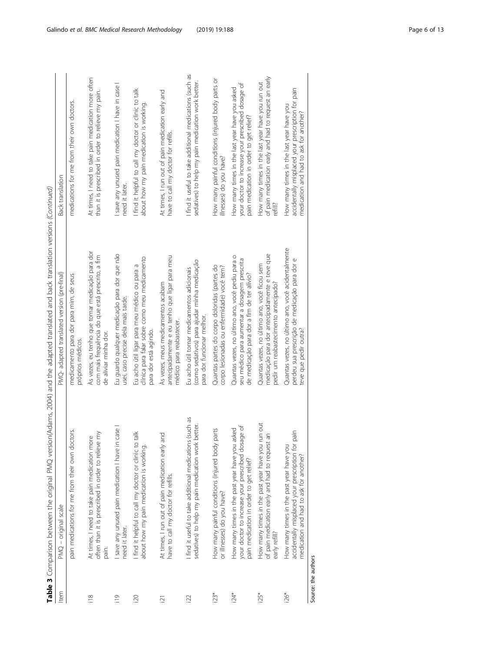| ξ<br>١<br>į                   |
|-------------------------------|
| $\frac{1}{2}$<br>İ            |
|                               |
| Í<br>í<br>ļ                   |
|                               |
| $\vdots$<br>ׅ֘֒<br>İ<br>j     |
| 5<br>İ                        |
|                               |
| ļ<br>ł<br>i                   |
| ₹<br>j                        |
| í                             |
| ļ<br>ļ<br>₹                   |
|                               |
| ř<br>Í<br>)<br>2              |
| l                             |
| ī<br>ļ                        |
| $\mathfrak{c}$<br>n<br>١      |
| ٦<br>٥<br>j<br>ī              |
|                               |
| ٦<br>J                        |
|                               |
| ī<br>á<br>ì                   |
| Ì                             |
| $\overline{1}$<br>ś<br>i<br>i |
| 1                             |
| ļ                             |
| )<br>5<br>ť                   |
|                               |
| i                             |
| Ā                             |
| ÷                             |
| $\frac{1}{2}$                 |
| ś                             |
| í<br>J<br>٦<br>i              |
|                               |
| Ì                             |
|                               |
| g                             |
| Ξ                             |
| ś<br>l                        |
| $\overline{1}$<br>5           |
| ļ<br>l<br>Ì                   |
| Š<br>ă<br>)                   |
| j<br>j<br>۱<br>j              |
| i                             |
|                               |
| I<br>۱<br>Š                   |
| €                             |
|                               |
| í<br>í                        |
| j<br>١                        |
| ć<br>j<br>ζ                   |
| j                             |
| ֦֧֢ׅ<br>í<br>Ï                |
| $\epsilon$<br>1               |
|                               |
| $\frac{1}{2}$<br>−<br>∩e−     |

|                 | Table 3 Comparison between the original PMQ version(                                                                                           | (Adams, 2004) and the adapted translated and back translation versions (Continued)                                                            |                                                                                                                                                |
|-----------------|------------------------------------------------------------------------------------------------------------------------------------------------|-----------------------------------------------------------------------------------------------------------------------------------------------|------------------------------------------------------------------------------------------------------------------------------------------------|
| Item            | $PMO - original scale$                                                                                                                         | PMQ-adapted translated version (pre-final)                                                                                                    | Back translation                                                                                                                               |
|                 | pain medications for me from their own doctors.                                                                                                | medicamento para dor para mim, de seus<br>próprios médicos.                                                                                   | medications for me from their own doctors.                                                                                                     |
| $\frac{8}{118}$ | often than it is prescribed in order to relieve my<br>At times, I need to take pain medication more<br>pain.                                   | As vezes, eu tenho que tomar medicação para dor<br>com mais frequência do que está prescrito, a fim<br>de aliviar minha dor.                  | At times, I need to take pain medication more often<br>than it is prescribed in order to relieve my pain.                                      |
| $\frac{1}{2}$   | I save any unused pain medication I have in case I<br>need it later.                                                                           | Eu guardo qualquer medicação para dor que não<br>usei, caso precise dela mais tarde.                                                          | I save any unused pain medication I have in case I<br>need it later.                                                                           |
| $\overline{20}$ | I find it helpful to call my doctor or clinic to talk<br>about how my pain medication is working.                                              | clínica para falar sobre como meu medicamento<br>Eu acho útil ligar para meu médico ou para a<br>para dor está agindo.                        | I find it helpful to call my doctor or clinic to talk<br>about how my pain medication is working.                                              |
| $\overline{2}1$ | At times, I run out of pain medication early and<br>have to call my doctor for refills.                                                        | antecipadamente e eu tenho que ligar para meu<br>As vezes, meus medicamentos acabam<br>médico para reabastecer.                               | At times, I run out of pain medication early and<br>have to call my doctor for refills.                                                        |
| $\overline{2}$  | I find it useful to take additional medications (such as<br>sedatives) to help my pain medication work better.                                 | (como sedativos) para ajudar minha medicação<br>Eu acho útil tomar medicamentos adicionais<br>para dor funcionar melhor.                      | I find it useful to take additional medications (such as<br>sedatives) to help my pain medication work better.                                 |
| $i23*$          | How many painful conditions (injured body parts<br>or illnesses) do you have?                                                                  | Quantas partes do corpo doloridas (partes do<br>corpo lesionadas ou enfermidade) você tem?                                                    | How many painful conditions (injured body parts or<br>illnesses) do you have?                                                                  |
| $-50$           | your doctor to increase your prescribed dosage of<br>How many times in the past year have you asked<br>pain medication in order to get relief? | Quantas vezes, no último ano, você pediu para o<br>seu médico para aumentar a dosagem prescrita<br>de medicação para dor a fim de ter alívio? | your doctor to increase your prescribed dosage of<br>How many times in the last year have you asked<br>pain medication in order to get relief? |
| i25*            | How many times in the past year have you run out<br>of pain medication early and had to request an<br>early refill?                            | medicação para dor antecipadamente e teve que<br>Quantas vezes, no último ano, você ficou sem<br>pedir um reabastecimento antecipado?         | of pain medication early and had to request an early<br>How many times in the last year have you run out<br>refill?                            |
| i26*            | accidentally misplaced your prescription for pain<br>How many times in the past year have you<br>medication and had to ask for another?        | Quantas vezes, no último ano, você acidentalmente<br>perdeu sua prescrição de medicação para dor e<br>teve que pedir outra?                   | accidentally misplaced your prescription for pain<br>How many times in the last year have you<br>medication and had to ask for another?        |

Source: the authors Source: the authors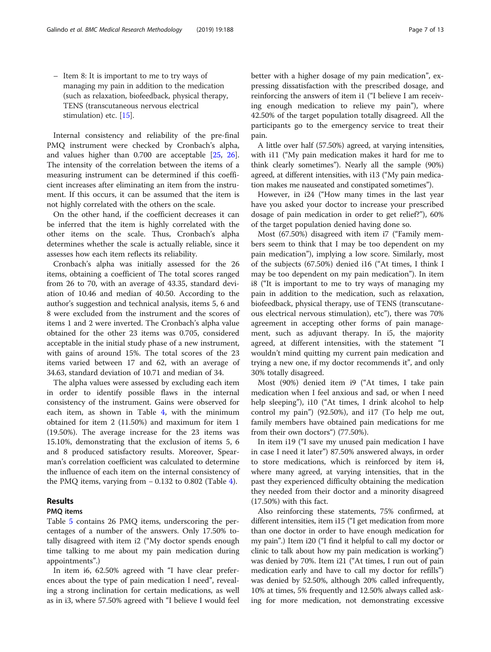– Item 8: It is important to me to try ways of managing my pain in addition to the medication (such as relaxation, biofeedback, physical therapy, TENS (transcutaneous nervous electrical stimulation) etc. [\[15\]](#page-12-0).

Internal consistency and reliability of the pre-final PMQ instrument were checked by Cronbach's alpha, and values higher than 0.700 are acceptable [\[25,](#page-12-0) [26](#page-12-0)]. The intensity of the correlation between the items of a measuring instrument can be determined if this coefficient increases after eliminating an item from the instrument. If this occurs, it can be assumed that the item is not highly correlated with the others on the scale.

On the other hand, if the coefficient decreases it can be inferred that the item is highly correlated with the other items on the scale. Thus, Cronbach's alpha determines whether the scale is actually reliable, since it assesses how each item reflects its reliability.

Cronbach's alpha was initially assessed for the 26 items, obtaining a coefficient of The total scores ranged from 26 to 70, with an average of 43.35, standard deviation of 10.46 and median of 40.50. According to the author's suggestion and technical analysis, items 5, 6 and 8 were excluded from the instrument and the scores of items 1 and 2 were inverted. The Cronbach's alpha value obtained for the other 23 items was 0.705, considered acceptable in the initial study phase of a new instrument, with gains of around 15%. The total scores of the 23 items varied between 17 and 62, with an average of 34.63, standard deviation of 10.71 and median of 34.

The alpha values were assessed by excluding each item in order to identify possible flaws in the internal consistency of the instrument. Gains were observed for each item, as shown in Table [4](#page-7-0), with the minimum obtained for item 2 (11.50%) and maximum for item 1 (19.50%). The average increase for the 23 items was 15.10%, demonstrating that the exclusion of items 5, 6 and 8 produced satisfactory results. Moreover, Spearman's correlation coefficient was calculated to determine the influence of each item on the internal consistency of the PMQ items, varying from  $-0.132$  to 0.802 (Table [4\)](#page-7-0).

#### Results

## PMQ items

Table [5](#page-8-0) contains 26 PMQ items, underscoring the percentages of a number of the answers. Only 17.50% totally disagreed with item i2 ("My doctor spends enough time talking to me about my pain medication during appointments".)

In item i6, 62.50% agreed with "I have clear preferences about the type of pain medication I need", revealing a strong inclination for certain medications, as well as in i3, where 57.50% agreed with "I believe I would feel better with a higher dosage of my pain medication", expressing dissatisfaction with the prescribed dosage, and reinforcing the answers of item i1 ("I believe I am receiving enough medication to relieve my pain"), where 42.50% of the target population totally disagreed. All the participants go to the emergency service to treat their pain.

A little over half (57.50%) agreed, at varying intensities, with i11 ("My pain medication makes it hard for me to think clearly sometimes"). Nearly all the sample (90%) agreed, at different intensities, with i13 ("My pain medication makes me nauseated and constipated sometimes").

However, in i24 ("How many times in the last year have you asked your doctor to increase your prescribed dosage of pain medication in order to get relief?"), 60% of the target population denied having done so.

Most (67.50%) disagreed with item i7 ("Family members seem to think that I may be too dependent on my pain medication"), implying a low score. Similarly, most of the subjects (67.50%) denied i16 ("At times, I think I may be too dependent on my pain medication"). In item i8 ("It is important to me to try ways of managing my pain in addition to the medication, such as relaxation, biofeedback, physical therapy, use of TENS (transcutaneous electrical nervous stimulation), etc"), there was 70% agreement in accepting other forms of pain management, such as adjuvant therapy. In i5, the majority agreed, at different intensities, with the statement "I wouldn't mind quitting my current pain medication and trying a new one, if my doctor recommends it", and only 30% totally disagreed.

Most (90%) denied item i9 ("At times, I take pain medication when I feel anxious and sad, or when I need help sleeping"), i10 ("At times, I drink alcohol to help control my pain") (92.50%), and i17 (To help me out, family members have obtained pain medications for me from their own doctors") (77.50%).

In item i19 ("I save my unused pain medication I have in case I need it later") 87.50% answered always, in order to store medications, which is reinforced by item i4, where many agreed, at varying intensities, that in the past they experienced difficulty obtaining the medication they needed from their doctor and a minority disagreed (17.50%) with this fact.

Also reinforcing these statements, 75% confirmed, at different intensities, item i15 ("I get medication from more than one doctor in order to have enough medication for my pain".) Item i20 ("I find it helpful to call my doctor or clinic to talk about how my pain medication is working") was denied by 70%. Item i21 ("At times, I run out of pain medication early and have to call my doctor for refills") was denied by 52.50%, although 20% called infrequently, 10% at times, 5% frequently and 12.50% always called asking for more medication, not demonstrating excessive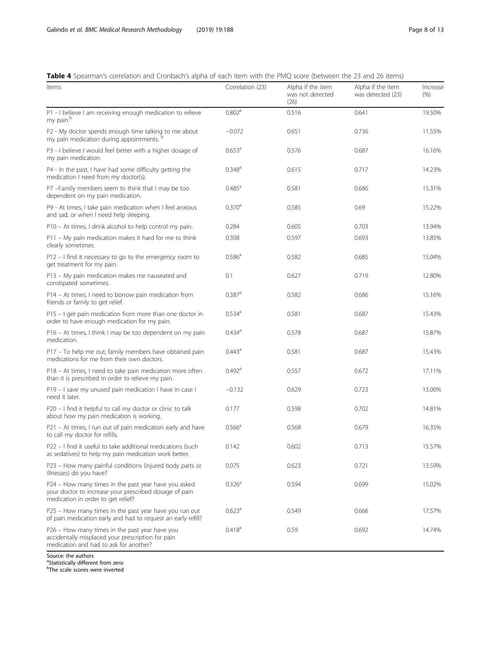## <span id="page-7-0"></span>Table 4 Spearman's correlation and Cronbach's alpha of each item with the PMQ score (between the 23 and 26 items)

| Items                                                                                                                                                | Correlation (23)     | Alpha if the item<br>was not detected<br>(26) | Alpha if the item<br>was detected (23) | Increase<br>(9/6) |
|------------------------------------------------------------------------------------------------------------------------------------------------------|----------------------|-----------------------------------------------|----------------------------------------|-------------------|
| P1 - I believe I am receiving enough medication to relieve<br>my pain. <sup>b</sup>                                                                  | 0.802 <sup>a</sup>   | 0.516                                         | 0.641                                  | 19.50%            |
| P2 - My doctor spends enough time talking to me about<br>my pain medication during appointments. <sup>t</sup>                                        | $-0.072$             | 0.651                                         | 0.736                                  | 11.55%            |
| P3 - I believe I would feel better with a higher dosage of<br>my pain medication.                                                                    | 0.653 <sup>a</sup>   | 0.576                                         | 0.687                                  | 16.16%            |
| P4 - In the past, I have had some difficulty getting the<br>medication I need from my doctor(s).                                                     | $0.348$ <sup>a</sup> | 0.615                                         | 0.717                                  | 14.23%            |
| P7 -Family members seem to think that I may be too<br>dependent on my pain medication.                                                               | $0.485^{\circ}$      | 0.581                                         | 0.686                                  | 15.31%            |
| P9 - At times, I take pain medication when I feel anxious<br>and sad, or when I need help sleeping.                                                  | 0.370 <sup>a</sup>   | 0.585                                         | 0.69                                   | 15.22%            |
| P10 – At times, I drink alcohol to help control my pain.                                                                                             | 0.284                | 0.605                                         | 0.703                                  | 13.94%            |
| P11 - My pain medication makes it hard for me to think<br>clearly sometimes.                                                                         | 0.308                | 0.597                                         | 0.693                                  | 13.85%            |
| $P12 - I$ find it necessary to go to the emergency room to<br>get treatment for my pain.                                                             | 0.586 <sup>a</sup>   | 0.582                                         | 0.685                                  | 15.04%            |
| P13 - My pain medication makes me nauseated and<br>constipated sometimes.                                                                            | 0.1                  | 0.627                                         | 0.719                                  | 12.80%            |
| P14 - At times, I need to borrow pain medication from<br>friends or family to get relief.                                                            | $0.387$ <sup>a</sup> | 0.582                                         | 0.686                                  | 15.16%            |
| P15 – I get pain medication from more than one doctor in<br>order to have enough medication for my pain.                                             | $0.534$ <sup>a</sup> | 0.581                                         | 0.687                                  | 15.43%            |
| P16 - At times, I think I may be too dependent on my pain<br>medication.                                                                             | $0.434$ <sup>a</sup> | 0.578                                         | 0.687                                  | 15.87%            |
| P17 – To help me out, family members have obtained pain<br>medications for me from their own doctors.                                                | 0.443 <sup>a</sup>   | 0.581                                         | 0.687                                  | 15.43%            |
| P18 - At times, I need to take pain medication more often<br>than it is prescribed in order to relieve my pain.                                      | $0.492$ <sup>a</sup> | 0.557                                         | 0.672                                  | 17.11%            |
| P19 - I save my unused pain medication I have in case I<br>need it later.                                                                            | $-0.132$             | 0.629                                         | 0.723                                  | 13.00%            |
| P20 - I find it helpful to call my doctor or clinic to talk<br>about how my pain medication is working.                                              | 0.177                | 0.598                                         | 0.702                                  | 14.81%            |
| P21 – At times, I run out of pain medication early and have<br>to call my doctor for refills.                                                        | $0.566^{\circ}$      | 0.568                                         | 0.679                                  | 16.35%            |
| P22 - I find it useful to take additional medications (such<br>as sedatives) to help my pain medication work better.                                 | 0.142                | 0.602                                         | 0.713                                  | 15.57%            |
| P23 - How many painful conditions (injured body parts or<br>illnesses) do you have?                                                                  | 0.075                | 0.623                                         | 0.721                                  | 13.59%            |
| P24 - How many times in the past year have you asked<br>your doctor to increase your prescribed dosage of pain<br>medication in order to get relief? | 0.326 <sup>a</sup>   | 0.594                                         | 0.699                                  | 15.02%            |
| P25 - How many times in the past year have you run out<br>of pain medication early and had to request an early refill?                               | 0.623 <sup>a</sup>   | 0.549                                         | 0.666                                  | 17.57%            |
| P26 - How many times in the past year have you<br>accidentally misplaced your prescription for pain<br>medication and had to ask for another?        | 0.418 <sup>a</sup>   | 0.59                                          | 0.692                                  | 14.74%            |

Source: the authors <sup>a</sup>Statistically different from zero<br><sup>b</sup>The scale scores were inverted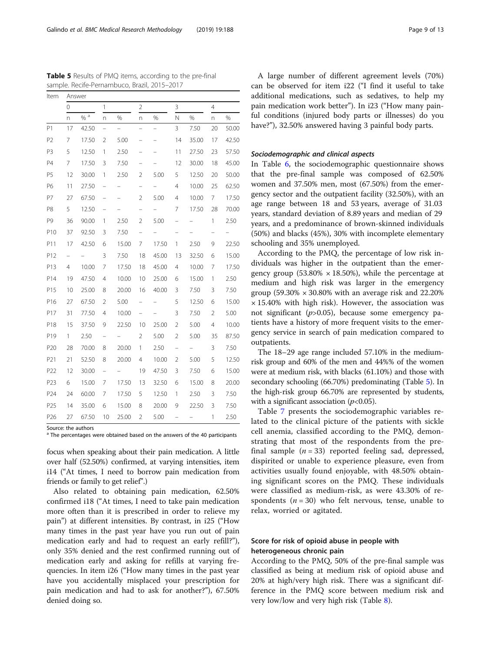A large number of different agreement levels (70%) can be observed for item i22 ("I find it useful to take additional medications, such as sedatives, to help my pain medication work better"). In i23 ("How many painful conditions (injured body parts or illnesses) do you have?"), 32.50% answered having 3 painful body parts.

## Sociodemographic and clinical aspects

In Table [6,](#page-9-0) the sociodemographic questionnaire shows that the pre-final sample was composed of 62.50% women and 37.50% men, most (67.50%) from the emergency sector and the outpatient facility (32.50%), with an age range between 18 and 53 years, average of 31.03 years, standard deviation of 8.89 years and median of 29 years, and a predominance of brown-skinned individuals (50%) and blacks (45%), 30% with incomplete elementary schooling and 35% unemployed.

According to the PMQ, the percentage of low risk individuals was higher in the outpatient than the emergency group (53.80%  $\times$  18.50%), while the percentage at medium and high risk was larger in the emergency group (59.30%  $\times$  30.80% with an average risk and 22.20%  $\times$  15.40% with high risk). However, the association was not significant  $(p>0.05)$ , because some emergency patients have a history of more frequent visits to the emergency service in search of pain medication compared to outpatients.

The 18–29 age range included 57.10% in the mediumrisk group and 60% of the men and 44%% of the women were at medium risk, with blacks (61.10%) and those with secondary schooling (66.70%) predominating (Table 5). In the high-risk group 66.70% are represented by students, with a significant association  $(p<0.05)$ .

Table [7](#page-10-0) presents the sociodemographic variables related to the clinical picture of the patients with sickle cell anemia, classified according to the PMQ, demonstrating that most of the respondents from the prefinal sample  $(n = 33)$  reported feeling sad, depressed, dispirited or unable to experience pleasure, even from activities usually found enjoyable, with 48.50% obtaining significant scores on the PMQ. These individuals were classified as medium-risk, as were 43.30% of respondents ( $n = 30$ ) who felt nervous, tense, unable to relax, worried or agitated.

## Score for risk of opioid abuse in people with heterogeneous chronic pain

According to the PMQ, 50% of the pre-final sample was classified as being at medium risk of opioid abuse and 20% at high/very high risk. There was a significant difference in the PMQ score between medium risk and very low/low and very high risk (Table [8\)](#page-10-0).

<span id="page-8-0"></span>Table 5 Results of PMQ items, according to the pre-final sample. Recife-Pernambuco, Brazil, 2015–2017

Item Answer

|                 | 0              |       | $\mathbf{1}$             |                          | $\overline{2}$ |                   | 3              |       | 4              |       |
|-----------------|----------------|-------|--------------------------|--------------------------|----------------|-------------------|----------------|-------|----------------|-------|
|                 | n              | $%$ a | n                        | %                        | n              | %                 | N              | %     | n              | %     |
| P1              | 17             | 42.50 | $\overline{\phantom{0}}$ | $\overline{\phantom{0}}$ | -              | $\qquad \qquad =$ | 3              | 7.50  | 20             | 50.00 |
| P <sub>2</sub>  | 7              | 17.50 | $\overline{2}$           | 5.00                     | -              |                   | 14             | 35.00 | 17             | 42.50 |
| P3              | 5              | 12.50 | 1                        | 2.50                     |                |                   | 11             | 27.50 | 23             | 57.50 |
| P <sub>4</sub>  | $\overline{7}$ | 17.50 | 3                        | 7.50                     | -              |                   | 12             | 30.00 | 18             | 45.00 |
| P <sub>5</sub>  | 12             | 30.00 | 1                        | 2.50                     | $\overline{2}$ | 5.00              | 5              | 12.50 | 20             | 50.00 |
| P6              | 11             | 27.50 | -                        | -                        | -              |                   | 4              | 10.00 | 25             | 62.50 |
| P7              | 27             | 67.50 | -                        |                          | $\overline{2}$ | 5.00              | 4              | 10.00 | 7              | 17.50 |
| P8              | 5              | 12.50 | -                        |                          | -              |                   | 7              | 17.50 | 28             | 70.00 |
| P9              | 36             | 90.00 | 1                        | 2.50                     | $\overline{2}$ | 5.00              |                |       | 1              | 2.50  |
| P10             | 37             | 92.50 | 3                        | 7.50                     |                |                   |                |       |                |       |
| P11             | 17             | 42.50 | 6                        | 15.00                    | 7              | 17.50             | $\mathbf{1}$   | 2.50  | 9              | 22.50 |
| P12             | -              |       | 3                        | 7.50                     | 18             | 45.00             | 13             | 32.50 | 6              | 15.00 |
| P13             | $\overline{4}$ | 10.00 | 7                        | 17.50                    | 18             | 45.00             | 4              | 10.00 | 7              | 17.50 |
| P14             | 19             | 47.50 | $\overline{4}$           | 10.00                    | 10             | 25.00             | 6              | 15.00 | 1              | 2.50  |
| P15             | 10             | 25.00 | 8                        | 20.00                    | 16             | 40.00             | 3              | 7.50  | 3              | 7.50  |
| P16             | 27             | 67.50 | $\overline{2}$           | 5.00                     |                |                   | 5              | 12.50 | 6              | 15.00 |
| P17             | 31             | 77.50 | $\overline{4}$           | 10.00                    |                |                   | 3              | 7.50  | $\overline{2}$ | 5.00  |
| P18             | 15             | 37.50 | 9                        | 22.50                    | 10             | 25.00             | $\overline{2}$ | 5.00  | $\overline{4}$ | 10.00 |
| P19             | $\mathbf{1}$   | 2.50  | -                        |                          | $\overline{2}$ | 5.00              | 2              | 5.00  | 35             | 87.50 |
| P20             | 28             | 70.00 | 8                        | 20.00                    | 1              | 2.50              | -              |       | 3              | 7.50  |
| P21             | 21             | 52.50 | 8                        | 20.00                    | $\overline{4}$ | 10.00             | 2              | 5.00  | 5              | 12.50 |
| P22             | 12             | 30.00 | -                        |                          | 19             | 47.50             | 3              | 7.50  | 6              | 15.00 |
| P23             | 6              | 15.00 | 7                        | 17.50                    | 13             | 32.50             | 6              | 15.00 | 8              | 20.00 |
| P24             | 24             | 60.00 | 7                        | 17.50                    | 5              | 12.50             | 1              | 2.50  | 3              | 7.50  |
| P <sub>25</sub> | 14             | 35.00 | 6                        | 15.00                    | 8              | 20.00             | 9              | 22.50 | 3              | 7.50  |
| P <sub>26</sub> | 27             | 67.50 | 10                       | 25.00                    | $\overline{2}$ | 5.00              |                |       | 1              | 2.50  |

Source: the authors

<sup>a</sup> The percentages were obtained based on the answers of the 40 participants

focus when speaking about their pain medication. A little over half (52.50%) confirmed, at varying intensities, item i14 ("At times, I need to borrow pain medication from friends or family to get relief".)

Also related to obtaining pain medication, 62.50% confirmed i18 ("At times, I need to take pain medication more often than it is prescribed in order to relieve my pain") at different intensities. By contrast, in i25 ("How many times in the past year have you run out of pain medication early and had to request an early refill?"), only 35% denied and the rest confirmed running out of medication early and asking for refills at varying frequencies. In item i26 ("How many times in the past year have you accidentally misplaced your prescription for pain medication and had to ask for another?"), 67.50% denied doing so.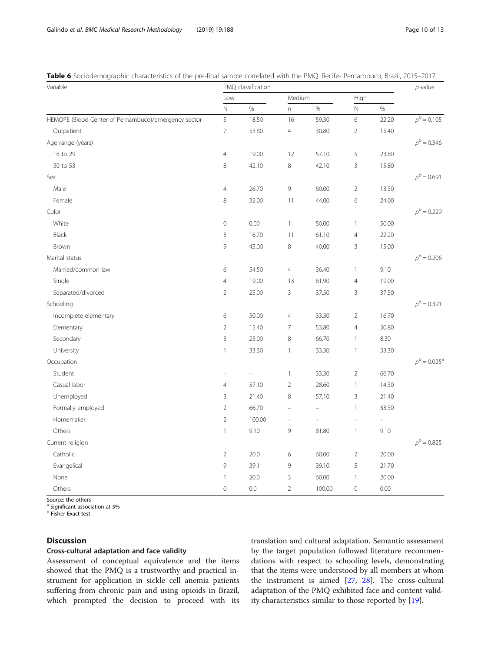| Variable                                             | PMQ classification | $p$ -value |                          |                          |                |                   |                             |
|------------------------------------------------------|--------------------|------------|--------------------------|--------------------------|----------------|-------------------|-----------------------------|
|                                                      | Low                |            | Medium                   |                          | High           |                   |                             |
|                                                      | $\hbox{N}$         | $\%$       | n                        | $\%$                     | $\mathbb N$    | $\%$              |                             |
| HEMOPE (Blood Center of Pernambuco)/emergency sector | 5                  | 18.50      | 16                       | 59.30                    | 6              | 22.20             | $p^{\rm b} = 0.105$         |
| Outpatient                                           | $\overline{7}$     | 53.80      | $\overline{4}$           | 30.80                    | $\overline{2}$ | 15.40             |                             |
| Age range (years)                                    |                    |            |                          |                          |                |                   | $p^{\rm b}$ = 0.346         |
| 18 to 29                                             | $\overline{4}$     | 19.00      | 12                       | 57.10                    | 5              | 23.80             |                             |
| 30 to 53                                             | 8                  | 42.10      | 8                        | 42.10                    | 3              | 15.80             |                             |
| Sex                                                  |                    |            |                          |                          |                |                   | $p^{\rm b}$ = 0.691         |
| Male                                                 | $\overline{4}$     | 26.70      | 9                        | 60.00                    | $\sqrt{2}$     | 13.30             |                             |
| Female                                               | 8                  | 32.00      | 11                       | 44.00                    | 6              | 24.00             |                             |
| Color                                                |                    |            |                          |                          |                |                   | $p^{\rm b}$ = 0.229         |
| White                                                | $\overline{0}$     | 0.00       | $\mathbf{1}$             | 50.00                    | $\mathbf{1}$   | 50.00             |                             |
| Black                                                | 3                  | 16.70      | 11                       | 61.10                    | $\overline{4}$ | 22.20             |                             |
| <b>Brown</b>                                         | 9                  | 45.00      | $\,8\,$                  | 40.00                    | 3              | 15.00             |                             |
| Marital status                                       |                    |            |                          |                          |                |                   | $p^{\rm b}$ = 0.206         |
| Married/common law                                   | 6                  | 54.50      | $\overline{4}$           | 36.40                    | $\mathbf{1}$   | 9.10              |                             |
| Single                                               | $\overline{4}$     | 19.00      | 13                       | 61.90                    | $\overline{4}$ | 19.00             |                             |
| Separated/divorced                                   | $\overline{2}$     | 25.00      | 3                        | 37.50                    | 3              | 37.50             |                             |
| Schooling                                            |                    |            |                          |                          |                |                   | $p^{\rm b} = 0.391$         |
| Incomplete elementary                                | 6                  | 50.00      | $\overline{4}$           | 33.30                    | $\overline{2}$ | 16.70             |                             |
| Elementary                                           | $\sqrt{2}$         | 15.40      | $\overline{7}$           | 53.80                    | $\overline{4}$ | 30.80             |                             |
| Secondary                                            | 3                  | 25.00      | $\,8\,$                  | 66.70                    | $\mathbf{1}$   | 8.30              |                             |
| University                                           | $\mathbf{1}$       | 33.30      | $\mathbf{1}$             | 33.30                    | $\mathbf{1}$   | 33.30             |                             |
| Occupation                                           |                    |            |                          |                          |                |                   | $p^{\rm b} = 0.025^{\rm a}$ |
| Student                                              | ÷                  | ÷          | $\mathbf{1}$             | 33.30                    | $\overline{2}$ | 66.70             |                             |
| Casual labor                                         | $\overline{4}$     | 57.10      | $\overline{2}$           | 28.60                    | $\mathbf{1}$   | 14.30             |                             |
| Unemployed                                           | $\mathsf 3$        | 21.40      | $\,8\,$                  | 57.10                    | 3              | 21.40             |                             |
| Formally employed                                    | $\overline{2}$     | 66.70      |                          | $\overline{\phantom{0}}$ | $\mathbf{1}$   | 33.30             |                             |
| Homemaker                                            | $\overline{2}$     | 100.00     | $\overline{\phantom{0}}$ |                          |                | $\qquad \qquad -$ |                             |
| Others                                               | $\mathbf{1}$       | 9.10       | 9                        | 81.80                    | $\mathbf{1}$   | 9.10              |                             |
| Current religion                                     |                    |            |                          |                          |                |                   | $p^{\rm b} = 0.825$         |
| Catholic                                             | $\overline{2}$     | 20.0       | 6                        | 60.00                    | $\overline{2}$ | 20.00             |                             |
| Evangelical                                          | 9                  | 39.1       | $\mathsf{G}$             | 39.10                    | 5              | 21.70             |                             |
| None                                                 | $\mathbf{1}$       | 20.0       | 3                        | 60.00                    | $\mathbf{1}$   | 20.00             |                             |
| Others                                               | $\overline{0}$     | 0.0        | $\overline{2}$           | 100.00                   | $\mathbf 0$    | 0.00              |                             |

<span id="page-9-0"></span>Table 6 Sociodemographic characteristics of the pre-final sample correlated with the PMQ. Recife- Pernambuco, Brazil, 2015–2017

Source: the others

<sup>a</sup> Significant association at 5%

**b** Fisher Exact test

## **Discussion**

## Cross-cultural adaptation and face validity

Assessment of conceptual equivalence and the items showed that the PMQ is a trustworthy and practical instrument for application in sickle cell anemia patients suffering from chronic pain and using opioids in Brazil, which prompted the decision to proceed with its

translation and cultural adaptation. Semantic assessment by the target population followed literature recommendations with respect to schooling levels, demonstrating that the items were understood by all members at whom the instrument is aimed [\[27](#page-12-0), [28](#page-12-0)]. The cross-cultural adaptation of the PMQ exhibited face and content validity characteristics similar to those reported by [[19\]](#page-12-0).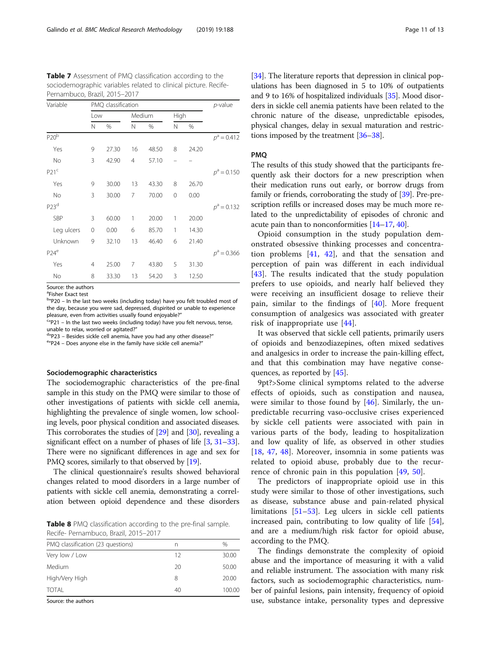<span id="page-10-0"></span>

| <b>Table 7</b> Assessment of PMQ classification according to the |
|------------------------------------------------------------------|
| sociodemographic variables related to clinical picture. Recife-  |
| Pernambuco, Brazil, 2015-2017                                    |

| Variable         | PMQ classification | $p$ -value |    |        |          |       |               |  |
|------------------|--------------------|------------|----|--------|----------|-------|---------------|--|
|                  | Low                |            |    | Medium |          | High  |               |  |
|                  | N                  | %          | Ν  | %      | N        | %     |               |  |
| P20 <sup>b</sup> |                    |            |    |        |          |       | $p^a = 0.412$ |  |
| Yes              | 9                  | 27.30      | 16 | 48.50  | 8        | 24.20 |               |  |
| No               | 3                  | 42.90      | 4  | 57.10  |          |       |               |  |
| P21 <sup>c</sup> |                    |            |    |        |          |       | $p^a = 0.150$ |  |
| Yes              | 9                  | 30.00      | 13 | 43.30  | 8        | 26.70 |               |  |
| No               | 3                  | 30.00      | 7  | 70.00  | $\Omega$ | 0.00  |               |  |
| P23 <sup>d</sup> |                    |            |    |        |          |       | $p^a = 0.132$ |  |
| SBP              | 3                  | 60.00      | 1  | 20.00  | 1        | 20.00 |               |  |
| Leg ulcers       | 0                  | 0.00       | 6  | 85.70  | 1        | 14.30 |               |  |
| Unknown          | 9                  | 32.10      | 13 | 46.40  | 6        | 21.40 |               |  |
| P24 <sup>e</sup> |                    |            |    |        |          |       | $p^a = 0.366$ |  |
| Yes              | 4                  | 25.00      | 7  | 43.80  | 5        | 31.30 |               |  |
| No               | 8                  | 33.30      | 13 | 54.20  | 3        | 12.50 |               |  |

Source: the authors

<sup>a</sup>Fisher Exact test

<sup>b</sup>"P20 – In the last two weeks (including today) have you felt troubled most of the day, because you were sad, depressed, dispirited or unable to experience pleasure, even from activities usually found enjoyable?"

 $C''P21$  – In the last two weeks (including today) have you felt nervous, tense, unable to relax, worried or agitated?"

<sup>d</sup>"P23 – Besides sickle cell anemia, have you had any other disease?"

e"P24 - Does anyone else in the family have sickle cell anemia?"

## Sociodemographic characteristics

The sociodemographic characteristics of the pre-final sample in this study on the PMQ were similar to those of other investigations of patients with sickle cell anemia, highlighting the prevalence of single women, low schooling levels, poor physical condition and associated diseases. This corroborates the studies of [\[29\]](#page-12-0) and [\[30\]](#page-12-0), revealing a significant effect on a number of phases of life [\[3](#page-12-0), [31](#page-12-0)–[33](#page-12-0)]. There were no significant differences in age and sex for PMQ scores, similarly to that observed by [\[19](#page-12-0)].

The clinical questionnaire's results showed behavioral changes related to mood disorders in a large number of patients with sickle cell anemia, demonstrating a correlation between opioid dependence and these disorders

Table 8 PMQ classification according to the pre-final sample. Recife- Pernambuco, Brazil, 2015–2017

| PMQ classification (23 questions) | n  | $\%$   |
|-----------------------------------|----|--------|
| Very low / Low                    | 12 | 30.00  |
| Medium                            | 20 | 50.00  |
| High/Very High                    | 8  | 20.00  |
| TOTAI                             | 40 | 100.00 |
| $\sim$ $\sim$                     |    |        |

Source: the authors

[[34](#page-12-0)]. The literature reports that depression in clinical populations has been diagnosed in 5 to 10% of outpatients and 9 to 16% of hospitalized individuals [\[35](#page-12-0)]. Mood disorders in sickle cell anemia patients have been related to the chronic nature of the disease, unpredictable episodes, physical changes, delay in sexual maturation and restrictions imposed by the treatment [[36](#page-12-0)–[38\]](#page-12-0).

## PMQ

The results of this study showed that the participants frequently ask their doctors for a new prescription when their medication runs out early, or borrow drugs from family or friends, corroborating the study of [\[39](#page-12-0)]. Pre-prescription refills or increased doses may be much more related to the unpredictability of episodes of chronic and acute pain than to nonconformities [\[14](#page-12-0)–[17,](#page-12-0) [40\]](#page-12-0).

Opioid consumption in the study population demonstrated obsessive thinking processes and concentration problems [\[41,](#page-12-0) [42\]](#page-12-0), and that the sensation and perception of pain was different in each individual [[43\]](#page-12-0). The results indicated that the study population prefers to use opioids, and nearly half believed they were receiving an insufficient dosage to relieve their pain, similar to the findings of  $[40]$  $[40]$ . More frequent consumption of analgesics was associated with greater risk of inappropriate use [\[44](#page-12-0)].

It was observed that sickle cell patients, primarily users of opioids and benzodiazepines, often mixed sedatives and analgesics in order to increase the pain-killing effect, and that this combination may have negative consequences, as reported by [\[45](#page-12-0)].

9pt?>Some clinical symptoms related to the adverse effects of opioids, such as constipation and nausea, were similar to those found by  $[46]$  $[46]$ . Similarly, the unpredictable recurring vaso-occlusive crises experienced by sickle cell patients were associated with pain in various parts of the body, leading to hospitalization and low quality of life, as observed in other studies [[18,](#page-12-0) [47](#page-12-0), [48](#page-12-0)]. Moreover, insomnia in some patients was related to opioid abuse, probably due to the recurrence of chronic pain in this population [\[49](#page-12-0), [50](#page-12-0)].

The predictors of inappropriate opioid use in this study were similar to those of other investigations, such as disease, substance abuse and pain-related physical limitations [\[51](#page-12-0)–[53\]](#page-12-0). Leg ulcers in sickle cell patients increased pain, contributing to low quality of life [\[54](#page-12-0)], and are a medium/high risk factor for opioid abuse, according to the PMQ.

The findings demonstrate the complexity of opioid abuse and the importance of measuring it with a valid and reliable instrument. The association with many risk factors, such as sociodemographic characteristics, number of painful lesions, pain intensity, frequency of opioid use, substance intake, personality types and depressive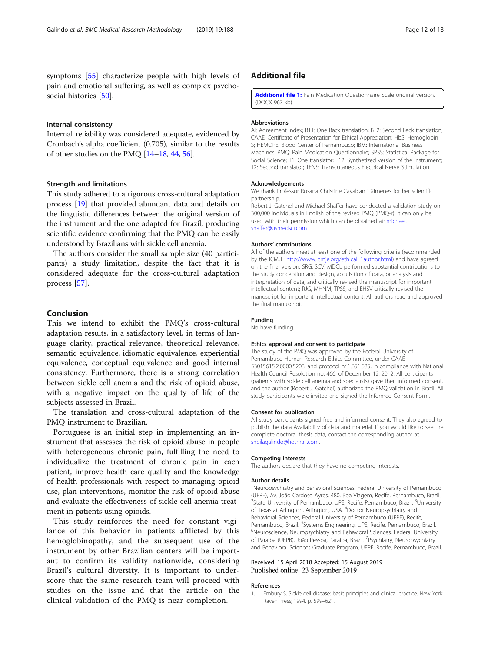<span id="page-11-0"></span>symptoms [[55](#page-12-0)] characterize people with high levels of pain and emotional suffering, as well as complex psycho-social histories [[50\]](#page-12-0).

#### Internal consistency

Internal reliability was considered adequate, evidenced by Cronbach's alpha coefficient (0.705), similar to the results of other studies on the PMQ [\[14](#page-12-0)–[18](#page-12-0), [44,](#page-12-0) [56](#page-12-0)].

#### Strength and limitations

This study adhered to a rigorous cross-cultural adaptation process [[19](#page-12-0)] that provided abundant data and details on the linguistic differences between the original version of the instrument and the one adapted for Brazil, producing scientific evidence confirming that the PMQ can be easily understood by Brazilians with sickle cell anemia.

The authors consider the small sample size (40 participants) a study limitation, despite the fact that it is considered adequate for the cross-cultural adaptation process [\[57](#page-12-0)].

## Conclusion

This we intend to exhibit the PMQ's cross-cultural adaptation results, in a satisfactory level, in terms of language clarity, practical relevance, theoretical relevance, semantic equivalence, idiomatic equivalence, experiential equivalence, conceptual equivalence and good internal consistency. Furthermore, there is a strong correlation between sickle cell anemia and the risk of opioid abuse, with a negative impact on the quality of life of the subjects assessed in Brazil.

The translation and cross-cultural adaptation of the PMQ instrument to Brazilian.

Portuguese is an initial step in implementing an instrument that assesses the risk of opioid abuse in people with heterogeneous chronic pain, fulfilling the need to individualize the treatment of chronic pain in each patient, improve health care quality and the knowledge of health professionals with respect to managing opioid use, plan interventions, monitor the risk of opioid abuse and evaluate the effectiveness of sickle cell anemia treatment in patients using opioids.

This study reinforces the need for constant vigilance of this behavior in patients afflicted by this hemoglobinopathy, and the subsequent use of the instrument by other Brazilian centers will be important to confirm its validity nationwide, considering Brazil's cultural diversity. It is important to underscore that the same research team will proceed with studies on the issue and that the article on the clinical validation of the PMQ is near completion.

## Additional file

[Additional file 1:](https://doi.org/10.1186/s12874-019-0821-x) Pain Medication Questionnaire Scale original version. (DOCX 967 kb)

#### Abbreviations

AI: Agreement Index; BT1: One Back translation; BT2: Second Back translation; CAAE: Certificate of Presentation for Ethical Appreciation; HbS: Hemoglobin S; HEMOPE: Blood Center of Pernambuco; IBM: International Business Machines; PMQ: Pain Medication Questionnaire; SPSS: Statistical Package for Social Science; T1: One translator; T12: Synthetized version of the instrument; T2: Second translator; TENS: Transcutaneous Electrical Nerve Stimulation

#### Acknowledgements

We thank Professor Rosana Christine Cavalcanti Ximenes for her scientific partnership.

Robert J. Gatchel and Michael Shaffer have conducted a validation study on 300,000 individuals in English of the revised PMQ (PMQ-r). It can only be used with their permission which can be obtained at: [michael.](mailto:michael.shaffer@usmedsci.com) [shaffer@usmedsci.com](mailto:michael.shaffer@usmedsci.com)

#### Authors' contributions

All of the authors meet at least one of the following criteria (recommended by the ICMJE: [http://www.icmje.org/ethical\\_1author.html\)](http://www.icmje.org/ethical_1author.html) and have agreed on the final version: SRG, SCV, MDCL performed substantial contributions to the study conception and design, acquisition of data, or analysis and interpretation of data, and critically revised the manuscript for important intellectual content; RJG, MHNM, TPSS, and EHSV critically revised the manuscript for important intellectual content. All authors read and approved the final manuscript.

#### Funding

No have funding.

#### Ethics approval and consent to participate

The study of the PMQ was approved by the Federal University of Pernambuco Human Research Ethics Committee, under CAAE 53015615.2.0000.5208, and protocol n°.1.651.685, in compliance with National Health Council Resolution no. 466, of December 12, 2012. All participants (patients with sickle cell anemia and specialists) gave their informed consent, and the author (Robert J. Gatchel) authorized the PMQ validation in Brazil. All study participants were invited and signed the Informed Consent Form.

#### Consent for publication

All study participants signed free and informed consent. They also agreed to publish the data Availability of data and material. If you would like to see the complete doctoral thesis data, contact the corresponding author at [sheilagalindo@hotmail.com.](mailto:sheilagalindo@hotmail.com)

#### Competing interests

The authors declare that they have no competing interests.

#### Author details

<sup>1</sup>Neuropsychiatry and Behavioral Sciences, Federal University of Pernambuco (UFPE), Av. João Cardoso Ayres, 480, Boa Viagem, Recife, Pernambuco, Brazil. <sup>2</sup>State University of Pernambuco, UPE, Recife, Pernambuco, Brazil. <sup>3</sup>University of Texas at Arlington, Arlington, USA. <sup>4</sup>Doctor Neuropsychiatry and Behavioral Sciences, Federal University of Pernambuco (UFPE), Recife, Pernambuco, Brazil. <sup>5</sup>Systems Engineering, UPE, Recife, Pernambuco, Brazil.<br><sup>6</sup>Neuroscionae, Neuropsychiates and Bohavieral Sciences, Eederal Universit <sup>6</sup>Neuroscience, Neuropsychiatry and Behavioral Sciences, Federal University of Paraíba (UFPB), João Pessoa, Paraíba, Brazil. <sup>7</sup>Psychiatry, Neuropsychiatry and Behavioral Sciences Graduate Program, UFPE, Recife, Pernambuco, Brazil.

#### Received: 15 April 2018 Accepted: 15 August 2019 Published online: 23 September 2019

#### References

1. Embury S. Sickle cell disease: basic principles and clinical practice. New York: Raven Press; 1994. p. 599–621.